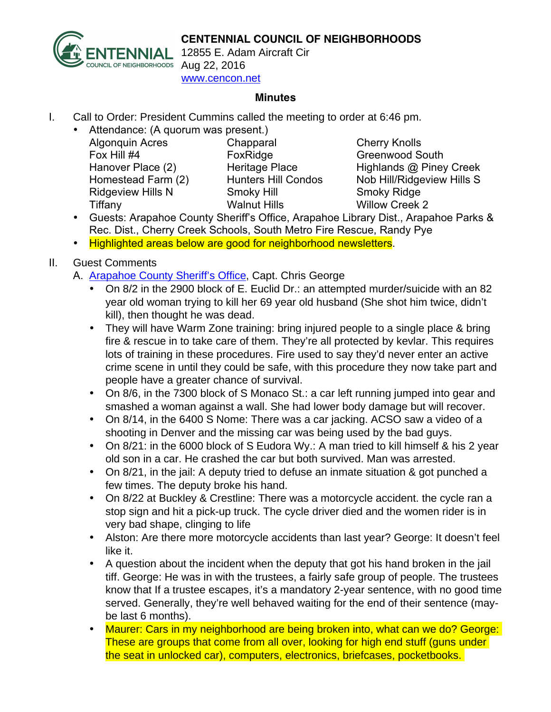## **CENTENNIAL COUNCIL OF NEIGHBORHOODS**



12855 E. Adam Aircraft Cir www.cencon.net

## **Minutes**

- I. Call to Order: President Cummins called the meeting to order at 6:46 pm.
	- Attendance: (A quorum was present.) Algonquin Acres Chapparal Cherry Knolls Fox Hill #4 FoxRidge Greenwood South Hanover Place (2) Heritage Place Highlands @ Piney Creek

Ridgeview Hills N Smoky Hill Smoky Ridge Tiffany Walnut Hills Willow Creek 2

Homestead Farm (2) Hunters Hill Condos Nob Hill/Ridgeview Hills S

- Guests: Arapahoe County Sheriff's Office, Arapahoe Library Dist., Arapahoe Parks & Rec. Dist., Cherry Creek Schools, South Metro Fire Rescue, Randy Pye
- Highlighted areas below are good for neighborhood newsletters.
- II. Guest Comments
	- A. [Arapahoe](http://www.arapahoesheriff.org) County Sheriff's Office, Capt. Chris George
		- On 8/2 in the 2900 block of E. Euclid Dr.: an attempted murder/suicide with an 82 year old woman trying to kill her 69 year old husband (She shot him twice, didn't kill), then thought he was dead.
		- They will have Warm Zone training: bring injured people to a single place & bring fire & rescue in to take care of them. They're all protected by kevlar. This requires lots of training in these procedures. Fire used to say they'd never enter an active crime scene in until they could be safe, with this procedure they now take part and people have a greater chance of survival.
		- On 8/6, in the 7300 block of S Monaco St.: a car left running jumped into gear and smashed a woman against a wall. She had lower body damage but will recover.
		- On 8/14, in the 6400 S Nome: There was a car jacking. ACSO saw a video of a shooting in Denver and the missing car was being used by the bad guys.
		- On 8/21: in the 6000 block of S Eudora Wy.: A man tried to kill himself & his 2 year old son in a car. He crashed the car but both survived. Man was arrested.
		- On 8/21, in the jail: A deputy tried to defuse an inmate situation & got punched a few times. The deputy broke his hand.
		- On 8/22 at Buckley & Crestline: There was a motorcycle accident. the cycle ran a stop sign and hit a pick-up truck. The cycle driver died and the women rider is in very bad shape, clinging to life
		- Alston: Are there more motorcycle accidents than last year? George: It doesn't feel like it.
		- A question about the incident when the deputy that got his hand broken in the jail tiff. George: He was in with the trustees, a fairly safe group of people. The trustees know that If a trustee escapes, it's a mandatory 2-year sentence, with no good time served. Generally, they're well behaved waiting for the end of their sentence (maybe last 6 months).
		- Maurer: Cars in my neighborhood are being broken into, what can we do? George: These are groups that come from all over, looking for high end stuff (guns under the seat in unlocked car), computers, electronics, briefcases, pocketbooks.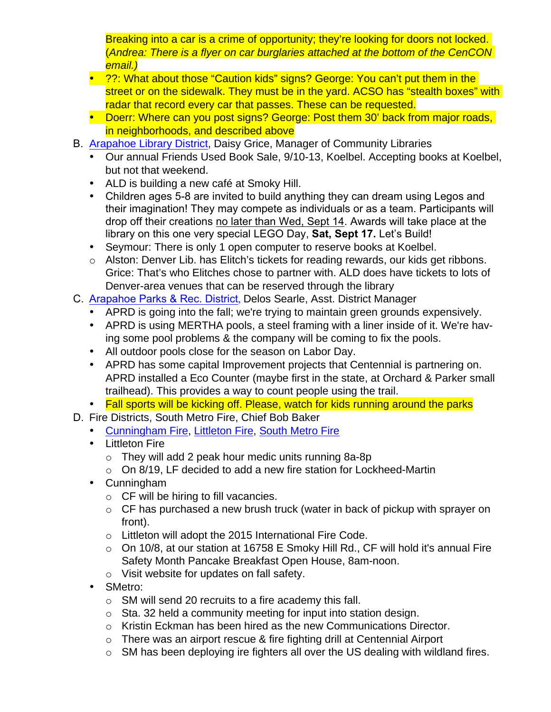Breaking into a car is a crime of opportunity; they're looking for doors not locked. (Andrea: There is a flyer on car burglaries attached at the bottom of the CenCON email.)

- 2?: What about those "Caution kids" signs? George: You can't put them in the street or on the sidewalk. They must be in the yard. ACSO has "stealth boxes" with radar that record every car that passes. These can be requested.
- Doerr: Where can you post signs? George: Post them 30' back from major roads, in neighborhoods, and described above
- B. **[Arapahoe](http://www.arapahoelibraries.org/) Library District**, Daisy Grice, Manager of Community Libraries
	- Our annual Friends Used Book Sale, 9/10-13, Koelbel. Accepting books at Koelbel, but not that weekend.
	- ALD is building a new café at Smoky Hill.
	- Children ages 5-8 are invited to build anything they can dream using Legos and their imagination! They may compete as individuals or as a team. Participants will drop off their creations no later than Wed, Sept 14. Awards will take place at the library on this one very special LEGO Day, **Sat, Sept 17.** Let's Build!
	- Seymour: There is only 1 open computer to reserve books at Koelbel.
	- o Alston: Denver Lib. has Elitch's tickets for reading rewards, our kids get ribbons. Grice: That's who Elitches chose to partner with. ALD does have tickets to lots of Denver-area venues that can be reserved through the library
- C. Arapahoe [Parks & Rec.](http://www.aprd.org) District, Delos Searle, Asst. District Manager
	- APRD is going into the fall; we're trying to maintain green grounds expensively.
	- APRD is using MERTHA pools, a steel framing with a liner inside of it. We're having some pool problems & the company will be coming to fix the pools.
	- All outdoor pools close for the season on Labor Day.
	- APRD has some capital Improvement projects that Centennial is partnering on. APRD installed a Eco Counter (maybe first in the state, at Orchard & Parker small trailhead). This provides a way to count people using the trail.
	- Fall sports will be kicking off. Please, watch for kids running around the parks
- D. Fire Districts, South Metro Fire, Chief Bob Baker
	- [Cunningham](http://www.cfpd.org) Fire, [Littleton](http://www.littletongov.org/fire) Fire, South [Metro](http://www.southmetro.org) Fire
	- Littleton Fire
		- $\circ$  They will add 2 peak hour medic units running 8a-8p
		- o On 8/19, LF decided to add a new fire station for Lockheed-Martin
	- Cunningham
		- o CF will be hiring to fill vacancies.
		- $\circ$  CF has purchased a new brush truck (water in back of pickup with sprayer on front).
		- o Littleton will adopt the 2015 International Fire Code.
		- o On 10/8, at our station at 16758 E Smoky Hill Rd., CF will hold it's annual Fire Safety Month Pancake Breakfast Open House, 8am-noon.
		- o Visit website for updates on fall safety.
	- SMetro:
		- o SM will send 20 recruits to a fire academy this fall.
		- o Sta. 32 held a community meeting for input into station design.
		- o Kristin Eckman has been hired as the new Communications Director.
		- o There was an airport rescue & fire fighting drill at Centennial Airport
		- o SM has been deploying ire fighters all over the US dealing with wildland fires.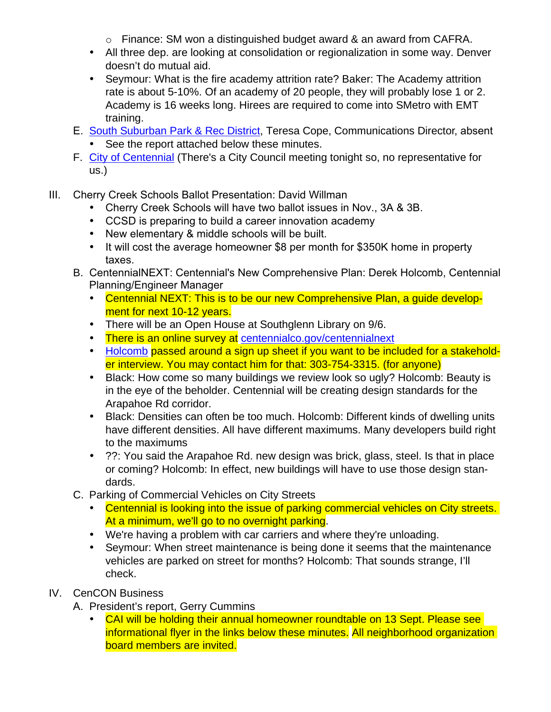- o Finance: SM won a distinguished budget award & an award from CAFRA.
- All three dep. are looking at consolidation or regionalization in some way. Denver doesn't do mutual aid.
- Seymour: What is the fire academy attrition rate? Baker: The Academy attrition rate is about 5-10%. Of an academy of 20 people, they will probably lose 1 or 2. Academy is 16 weeks long. Hirees are required to come into SMetro with EMT training.
- E. South [Suburban](http://www.SSPR.org) Park & Rec District, Teresa Cope, Communications Director, absent
	- See the report attached below these minutes.
- F. City of [Centennial](http://www.centennialco.gov) (There's a City Council meeting tonight so, no representative for us.)
- III. Cherry Creek Schools Ballot Presentation: David Willman
	- Cherry Creek Schools will have two ballot issues in Nov., 3A & 3B.
	- CCSD is preparing to build a career innovation academy
	- New elementary & middle schools will be built.
	- It will cost the average homeowner \$8 per month for \$350K home in property taxes.
	- B. CentennialNEXT: Centennial's New Comprehensive Plan: Derek Holcomb, Centennial Planning/Engineer Manager
		- Centennial NEXT: This is to be our new Comprehensive Plan, a guide development for next 10-12 years.
		- There will be an Open House at Southglenn Library on 9/6.
		- There is an online survey at [centennialco.gov/centennialnext](http://www.centennialco.gov/centennialnext)
		- [Holcomb](mailto:dholcomg@centennialco.gov) passed around a sign up sheet if you want to be included for a stakeholder interview. You may contact him for that: 303-754-3315. (for anyone)
		- Black: How come so many buildings we review look so ugly? Holcomb: Beauty is in the eye of the beholder. Centennial will be creating design standards for the Arapahoe Rd corridor.
		- Black: Densities can often be too much. Holcomb: Different kinds of dwelling units have different densities. All have different maximums. Many developers build right to the maximums
		- ??: You said the Arapahoe Rd. new design was brick, glass, steel. Is that in place or coming? Holcomb: In effect, new buildings will have to use those design standards.
	- C. Parking of Commercial Vehicles on City Streets
		- Centennial is looking into the issue of parking commercial vehicles on City streets. At a minimum, we'll go to no overnight parking.
		- We're having a problem with car carriers and where they're unloading.
		- Seymour: When street maintenance is being done it seems that the maintenance vehicles are parked on street for months? Holcomb: That sounds strange, I'll check.
- IV. CenCON Business
	- A. President's report, Gerry Cummins
		- CAI will be holding their annual homeowner roundtable on 13 Sept. Please see informational flyer in the links below these minutes. All neighborhood organization board members are invited.